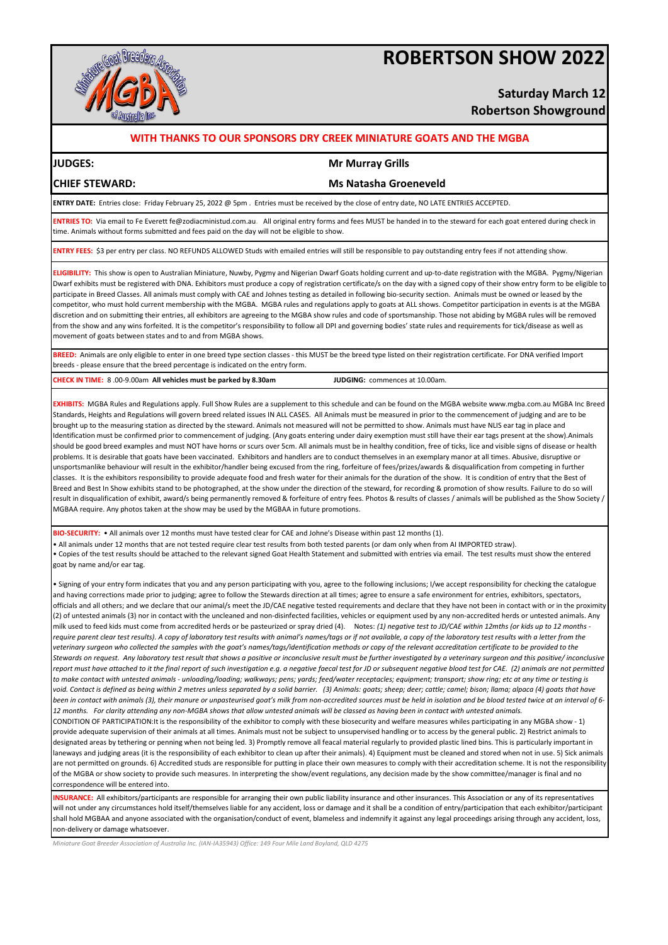# **ROBERTSON SHOW 2022**



# **Saturday March 12 Robertson Showground**

### **WITH THANKS TO OUR SPONSORS DRY CREEK MINIATURE GOATS AND THE MGBA**

### **JUDGES: Mr Murray Grills**

**CHIEF STEWARD: Ms Natasha Groeneveld**

**ENTRY DATE:** Entries close: Friday February 25, 2022 @ 5pm . Entries must be received by the close of entry date, NO LATE ENTRIES ACCEPTED.

**ENTRIES TO:** Via email to Fe Everett fe@zodiacministud.com.au. All original entry forms and fees MUST be handed in to the steward for each goat entered during check in time. Animals without forms submitted and fees paid on the day will not be eligible to show.

**ENTRY FEES:** \$3 per entry per class. NO REFUNDS ALLOWED Studs with emailed entries will still be responsible to pay outstanding entry fees if not attending show.

**ELIGIBILITY:** This show is open to Australian Miniature, Nuwby, Pygmy and Nigerian Dwarf Goats holding current and up-to-date registration with the MGBA. Pygmy/Nigerian Dwarf exhibits must be registered with DNA. Exhibitors must produce a copy of registration certificate/s on the day with a signed copy of their show entry form to be eligible to participate in Breed Classes. All animals must comply with CAE and Johnes testing as detailed in following bio-security section. Animals must be owned or leased by the competitor, who must hold current membership with the MGBA. MGBA rules and regulations apply to goats at ALL shows. Competitor participation in events is at the MGBA discretion and on submitting their entries, all exhibitors are agreeing to the MGBA show rules and code of sportsmanship. Those not abiding by MGBA rules will be removed from the show and any wins forfeited. It is the competitor's responsibility to follow all DPI and governing bodies' state rules and requirements for tick/disease as well as movement of goats between states and to and from MGBA shows.

**BREED:** Animals are only eligible to enter in one breed type section classes - this MUST be the breed type listed on their registration certificate. For DNA verified Import breeds - please ensure that the breed percentage is indicated on the entry form.

**CHECK IN TIME:** 8 .00-9.00am **All vehicles must be parked by 8.30am JUDGING:** commences at 10.00am.

**EXHIBITS:** MGBA Rules and Regulations apply. Full Show Rules are a supplement to this schedule and can be found on the MGBA website www.mgba.com.au MGBA Inc Breed Standards, Heights and Regulations will govern breed related issues IN ALL CASES. All Animals must be measured in prior to the commencement of judging and are to be brought up to the measuring station as directed by the steward. Animals not measured will not be permitted to show. Animals must have NLIS ear tag in place and Identification must be confirmed prior to commencement of judging. (Any goats entering under dairy exemption must still have their ear tags present at the show).Animals should be good breed examples and must NOT have horns or scurs over 5cm. All animals must be in healthy condition, free of ticks, lice and visible signs of disease or health problems. It is desirable that goats have been vaccinated. Exhibitors and handlers are to conduct themselves in an exemplary manor at all times. Abusive, disruptive or unsportsmanlike behaviour will result in the exhibitor/handler being excused from the ring, forfeiture of fees/prizes/awards & disqualification from competing in further classes. It is the exhibitors responsibility to provide adequate food and fresh water for their animals for the duration of the show. It is condition of entry that the Best of Breed and Best In Show exhibits stand to be photographed, at the show under the direction of the steward, for recording & promotion of show results. Failure to do so will result in disqualification of exhibit, award/s being permanently removed & forfeiture of entry fees. Photos & results of classes / animals will be published as the Show Society / MGBAA require. Any photos taken at the show may be used by the MGBAA in future promotions.

**BIO-SECURITY:** • All animals over 12 months must have tested clear for CAE and Johne's Disease within past 12 months (1).

• Copies of the test results should be attached to the relevant signed Goat Health Statement and submitted with entries via email. The test results must show the entered goat by name and/or ear tag. • All animals under 12 months that are not tested require clear test results from both tested parents (or dam only when from AI IMPORTED straw).

• Signing of your entry form indicates that you and any person participating with you, agree to the following inclusions; I/we accept responsibility for checking the catalogue and having corrections made prior to judging; agree to follow the Stewards direction at all times; agree to ensure a safe environment for entries, exhibitors, spectators, officials and all others; and we declare that our animal/s meet the JD/CAE negative tested requirements and declare that they have not been in contact with or in the proximity (2) of untested animals (3) nor in contact with the uncleaned and non-disinfected facilities, vehicles or equipment used by any non-accredited herds or untested animals. Any milk used to feed kids must come from accredited herds or be pasteurized or spray dried (4). Notes: *(1) negative test to JD/CAE within 12mths (or kids up to 12 months require parent clear test results). A copy of laboratory test results with animal's names/tags or if not available, a copy of the laboratory test results with a letter from the veterinary surgeon who collected the samples with the goat's names/tags/identification methods or copy of the relevant accreditation certificate to be provided to the Stewards on request. Any laboratory test result that shows a positive or inconclusive result must be further investigated by a veterinary surgeon and this positive/ inconclusive report must have attached to it the final report of such investigation e.g. a negative faecal test for JD or subsequent negative blood test for CAE. (2) animals are not permitted to make contact with untested animals - unloading/loading; walkways; pens; yards; feed/water receptacles; equipment; transport; show ring; etc at any time or testing is void. Contact is defined as being within 2 metres unless separated by a solid barrier. (3) Animals: goats; sheep; deer; cattle; camel; bison; llama; alpaca (4) goats that have been in contact with animals (3), their manure or unpasteurised goat's milk from non-accredited sources must be held in isolation and be blood tested twice at an interval of 6- 12 months. For clarity attending any non-MGBA shows that allow untested animals will be classed as having been in contact with untested animals.* CONDITION OF PARTICIPATION:It is the responsibility of the exhibitor to comply with these biosecurity and welfare measures whiles participating in any MGBA show - 1) provide adequate supervision of their animals at all times. Animals must not be subject to unsupervised handling or to access by the general public. 2) Restrict animals to designated areas by tethering or penning when not being led. 3) Promptly remove all feacal material regularly to provided plastic lined bins. This is particularly important in laneways and judging areas (it is the responsibility of each exhibitor to clean up after their animals). 4) Equipment must be cleaned and stored when not in use. 5) Sick animals are not permitted on grounds. 6) Accredited studs are responsible for putting in place their own measures to comply with their accreditation scheme. It is not the responsibility of the MGBA or show society to provide such measures. In interpreting the show/event regulations, any decision made by the show committee/manager is final and no correspondence will be entered into.

**INSURANCE:** All exhibitors/participants are responsible for arranging their own public liability insurance and other insurances. This Association or any of its representatives will not under any circumstances hold itself/themselves liable for any accident, loss or damage and it shall be a condition of entry/participation that each exhibitor/participant shall hold MGBAA and anyone associated with the organisation/conduct of event, blameless and indemnify it against any legal proceedings arising through any accident, loss, non-delivery or damage whatsoever.

*Miniature Goat Breeder Association of Australia Inc. (IAN-IA35943) Office: 149 Four Mile Land Boyland, QLD 4275*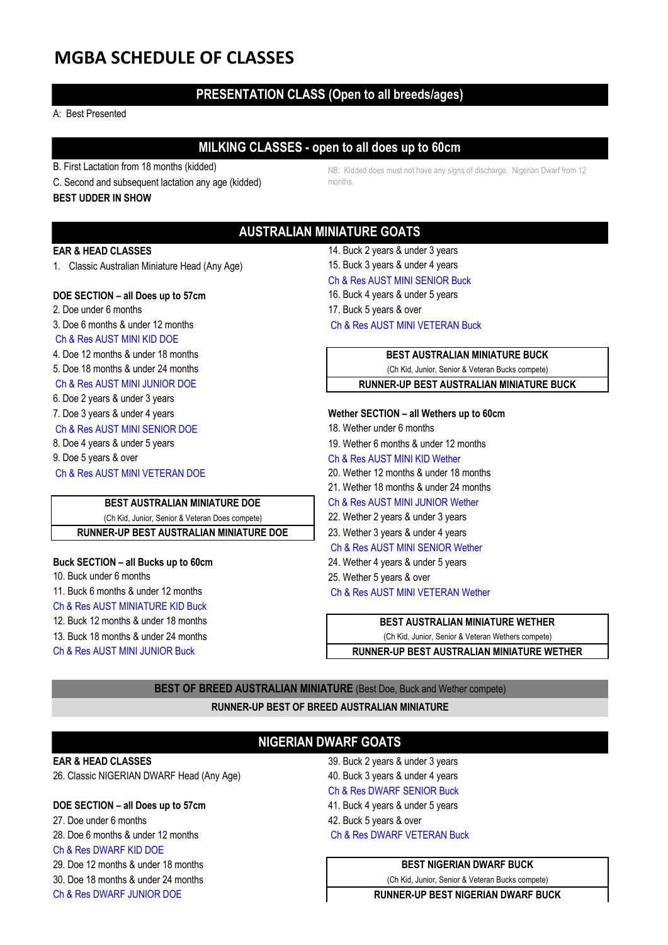# **MGBA SCHEDULE OF CLASSES**

# **PRESENTATION CLASS (Open to all breeds/ages)**

### A: Best Presented

# **MILKING CLASSES - open to all does up to 60cm**

- B. First Lactation from 18 months (kidded)
- C. Second and subsequent lactation any age (kidded)

### **BEST UDDER IN SHOW**

NB: Kidded does must not have any signs of discharge. Nigerian Dwarf from 12 months.

# **AUSTRALIAN MINIATURE GOATS**

# **EAR & HEAD CLASSES** 14. Buck 2 years & under 3 years

1. Classic Australian Miniature Head (Any Age) 15. Buck 3 years & under 4 years

### **DOE SECTION – all Does up to 57cm** 16. Buck 4 years & under 5 years

- 2. Doe under 6 months 17. Buck 5 years & over
- 

# Ch & Res AUST MINI KID DOE

- 
- 
- 
- 6. Doe 2 years & under 3 years
- 
- Ch & Res AUST MINI SENIOR DOF 18. Wether under 6 months
- 
- 
- Ch & Res AUST MINI VETERAN DOE 20. Wether 12 months & under 18 months

# **BEST AUSTRALIAN MINIATURE DOE** Ch & Res AUST MINI JUNIOR Wether

(Ch Kid, Junior, Senior & Veteran Does compete) 22. Wether 2 years & under 3 years

**RUNNER-UP BEST AUSTRALIAN MINIATURE DOE** 23. Wether 3 years & under 4 years

# **Buck SECTION – all Bucks up to 60cm** 24. Wether 4 years & under 5 years

- 10. Buck under 6 months 25. Wether 5 years & over
- 11. Buck 6 months & under 12 months Ch & Res AUST MINI VETERAN Wether
- Ch & Res AUST MINIATURE KID Buck
- 12. Buck 12 months & under 18 months
- 13. Buck 18 months & under 24 months
- Ch & Res AUST MINI JUNIOR Buck **Rundlers Channer-UP BEST AUSTRALIAN MINIA**
- Ch & Res AUST MINI SENIOR Buck
- 
- 3. Doe 6 months & under 12 months Ch & Res AUST MINI VETERAN Buck

4. Doe 12 months & under 18 months **BEST AUSTRALIAN MINIATURE BUCK** 5. Doe 18 months & under 24 months (Ch Kid, Junior, Senior & Veteran Bucks compete) Ch & Res AUST MINI JUNIOR DOE **RUNNER-UP BEST AUSTRALIAN MINIATURE BUCK**

## 7. Doe 3 years & under 4 years **Wether SECTION – all Wethers up to 60cm**

- 
- 8. Doe 4 years & under 5 years 19. Wether 6 months & under 12 months
- 9. Doe 5 years & over Changes and Ch & Res AUST MINI KID Wether
	-
	- 21. Wether 18 months & under 24 months

- 
- 
- Ch & Res AUST MINI SENIOR Wether
- 
- 
- 

| (Ch Kid, Junior, Senior & Veteran Wethers compete) |
|----------------------------------------------------|
| <b>DUNNED JID REST AUSTRALIAN MINIATURE WETHER</b> |

**BEST OF BREED AUSTRALIAN MINIATURE** (Best Doe, Buck and Wether compete)

**RUNNER-UP BEST OF BREED AUSTRALIAN MINIATURE**

# **NIGERIAN DWARF GOATS**

26. Classic NIGERIAN DWARF Head (Any Age) 40. Buck 3 years & under 4 years

## **DOE SECTION – all Does up to 57cm** extending the state of 41. Buck 4 years & under 5 years

27. Doe under 6 months 42. Buck 5 years & over 28. Doe 6 months & under 12 months Ch & Res DWARF VETERAN Buck Ch & Res DWARF KID DOE

30. Doe 18 months & under 24 months (Ch Kid, Junior, Senior & Veteran Bucks compete)

Ch & Res DWARF JUNIOR DOE **RUNNER-UP BEST NIGERIAN DWARF BUCK**

**EAR & HEAD CLASSES** 39. Buck 2 years & under 3 years Ch & Res DWARF SENIOR Buck

29. Doe 12 months & under 18 months **BEST NIGERIAN DWARF BUCK**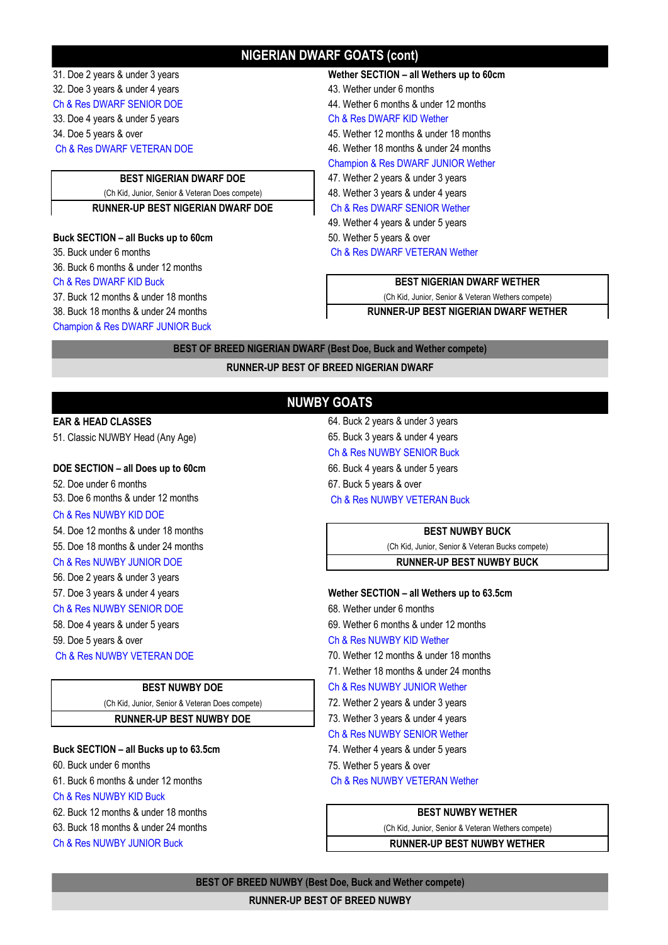# **NIGERIAN DWARF GOATS (cont)**

31. Doe 2 years & under 3 years **Wether SECTION – all Wethers up to 60cm**

### **Buck SECTION – all Bucks up to 60cm** 50. Wether 5 years & over

36. Buck 6 months & under 12 months

Champion & Res DWARF JUNIOR Buck

32. Doe 3 years & under 4 years 43. Wether under 6 months Ch & Res DWARF SENIOR DOE 44. Wether 6 months & under 12 months 33. Doe 4 years & under 5 years Ch & Res DWARF KID Wether 34. Doe 5 years & over 45. Wether 12 months & under 18 months Ch & Res DWARF VETERAN DOE 46. Wether 18 months & under 24 months Champion & Res DWARF JUNIOR Wether **BEST NIGERIAN DWARF DOE** 47. Wether 2 years & under 3 years (Ch Kid, Junior, Senior & Veteran Does compete) 48. Wether 3 years & under 4 years **RUNNER-UP BEST NIGERIAN DWARF DOE** Ch & Res DWARF SENIOR Wether 49. Wether 4 years & under 5 years

35. Buck under 6 months Ch & Res DWARF VETERAN Wether

# Ch & Res DWARF KID Buck **BEST NIGERIAN DWARF WETHER**

37. Buck 12 months & under 18 months (Ch Kid, Junior, Senior & Veteran Wethers compete)

38. Buck 18 months & under 24 months **RUNNER-UP BEST NIGERIAN DWARF WETHER**

**BEST OF BREED NIGERIAN DWARF (Best Doe, Buck and Wether compete)**

**RUNNER-UP BEST OF BREED NIGERIAN DWARF**

# **NUWBY GOATS**

51. Classic NUWBY Head (Any Age) 65. Buck 3 years & under 4 years

### **DOE SECTION – all Does up to 60cm** extended the second of 6. Buck 4 years & under 5 years

52. Doe under 6 months 67. Buck 5 years & over 53. Doe 6 months & under 12 months Ch & Res NUWBY VETERAN Buck

### Ch & Res NUWBY KID DOE

54. Doe 12 months & under 18 months **BEST NUWBY BUCK**

- 
- Ch & Res NUWBY JUNIOR DOE **RUNNER-UP BEST NUWBY BUCK**
- 56. Doe 2 years & under 3 years
- 
- 
- 
- 
- 

(Ch Kid, Junior, Senior & Veteran Does compete) 72. Wether 2 years & under 3 years **RUNNER-UP BEST NUWBY DOE** 73. Wether 3 years & under 4 years

# **Buck SECTION – all Bucks up to 63.5cm** 74. Wether 4 years & under 5 years

- 61. Buck 6 months & under 12 months Ch & Res NUWBY VETERAN Wether
- Ch & Res NUWBY KID Buck
- 62. Buck 12 months & under 18 months **BEST NUWBY WETHER**
- 63. Buck 18 months & under 24 months (Ch Kid, Junior, Senior & Veteran Wethers compete)
- 

# **EAR & HEAD CLASSES** 64. Buck 2 years & under 3 years Ch & Res NUWBY SENIOR Buck

55. Doe 18 months & under 24 months (Ch Kid, Junior, Senior & Veteran Bucks compete)

### 57. Doe 3 years & under 4 years **Wether SECTION – all Wethers up to 63.5cm**

Ch & Res NUWBY SENIOR DOE 68. Wether under 6 months

- 58. Doe 4 years & under 5 years 69. Wether 6 months & under 12 months
- 59. Doe 5 years & over Ch & Res NUWBY KID Wether
- Ch & Res NUWBY VETERAN DOE 70. Wether 12 months & under 18 months
	- 71. Wether 18 months & under 24 months
	- **BEST NUWBY DOE** Ch & Res NUWBY JUNIOR Wether
		-
		-
		- Ch & Res NUWBY SENIOR Wether
		-
- 60. Buck under 6 months 75. Wether 5 years & over

Ch & Res NUWBY JUNIOR Buck **RUNNER-UP BEST NUWBY WETHER**

# **BEST OF BREED NUWBY (Best Doe, Buck and Wether compete)**

### **RUNNER-UP BEST OF BREED NUWBY**